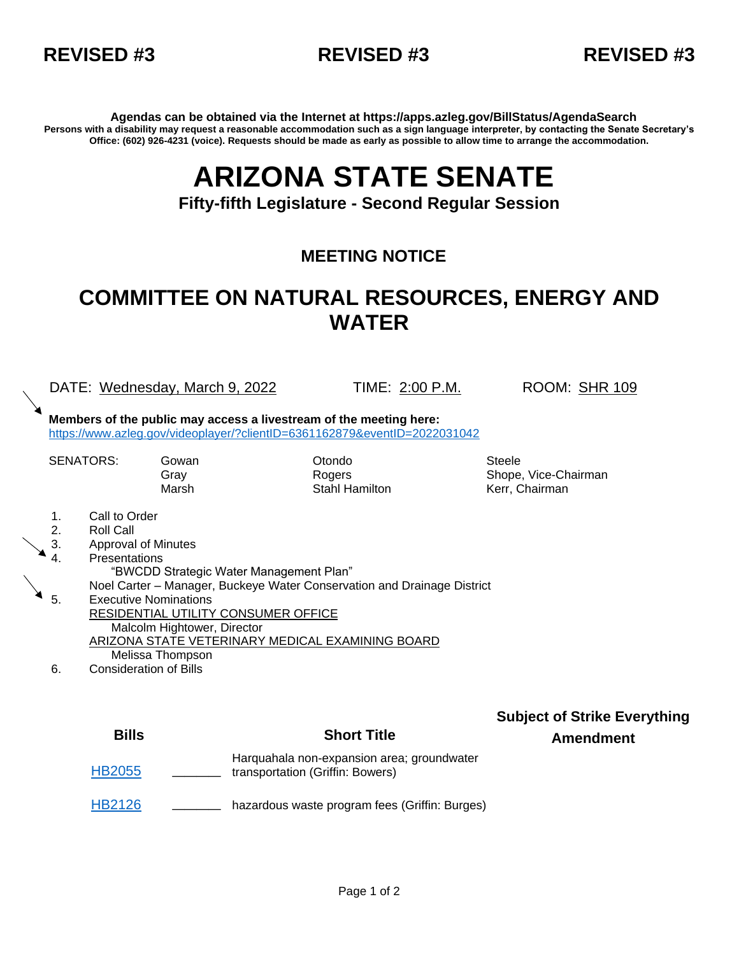



**Agendas can be obtained via the Internet at https://apps.azleg.gov/BillStatus/AgendaSearch Persons with a disability may request a reasonable accommodation such as a sign language interpreter, by contacting the Senate Secretary's Office: (602) 926-4231 (voice). Requests should be made as early as possible to allow time to arrange the accommodation.**

## **ARIZONA STATE SENATE**

**Fifty-fifth Legislature - Second Regular Session**

## **MEETING NOTICE**

## **COMMITTEE ON NATURAL RESOURCES, ENERGY AND WATER**

DATE: Wednesday, March 9, 2022 TIME: 2:00 P.M. ROOM: SHR 109

**Members of the public may access a livestream of the meeting here:**  <https://www.azleg.gov/videoplayer/?clientID=6361162879&eventID=2022031042>

SENATORS: Gowan **Otondo** Otondo Steele

Gray **Rogers** Rogers Shope, Vice-Chairman Marsh **Stahl Hamilton** Kerr, Chairman

- 1. Call to Order
- 2. Roll Call
- 3. Approval of Minutes

4. Presentations

"BWCDD Strategic Water Management Plan"

Noel Carter – Manager, Buckeye Water Conservation and Drainage District

- $\triangleq$  5. Executive Nominations RESIDENTIAL UTILITY CONSUMER OFFICE Malcolm Hightower, Director ARIZONA STATE VETERINARY MEDICAL EXAMINING BOARD Melissa Thompson
	- 6. Consideration of Bills

| <b>Bills</b>  | <b>Short Title</b>                                                             | <b>Subject of Strike Everything</b><br><b>Amendment</b> |
|---------------|--------------------------------------------------------------------------------|---------------------------------------------------------|
| <b>HB2055</b> | Harguahala non-expansion area; groundwater<br>transportation (Griffin: Bowers) |                                                         |
| <b>HB2126</b> | hazardous waste program fees (Griffin: Burges)                                 |                                                         |